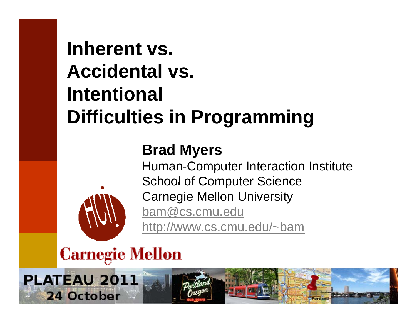#### **Inherent vs. Accidental vs. Intentional Difficulties in Programming**

#### **Brad Myers**

Human-Computer Interaction Institute School of Computer Science Carnegie Mellon University bam@cs.cmu.edu <u>http://www.cs.cmu.edu/~bam</u>

#### **Carnegie Mellon**

PLATEAU 2011 24 October 1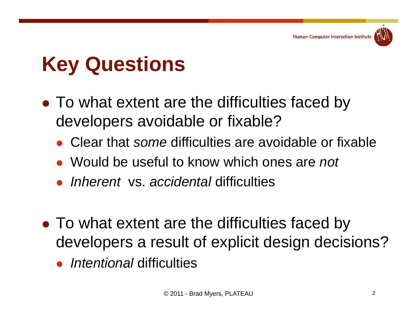

# **K Q ti ey Questions**

- To what extent are the difficulties faced by developers avoidable or fixable?
	- Clear that *some* difficulties are avoidable or fixable fixable
	- Would be useful to know which ones are *not*
	- *Inherent* vs. *accidental* difficulties
- To what extent are the difficulties faced by developers a result of explicit design decisions?
	- *Intentional* difficulties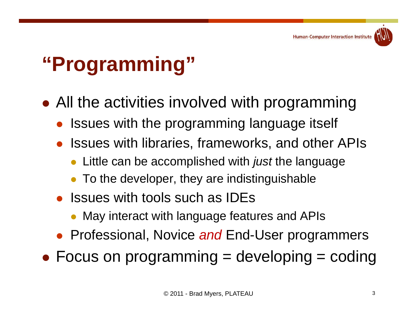

#### **"P i " rogramm ing**

- $\bullet$  All the activities involved with programming
	- $\bullet$ Issues with the programming language itself
	- $\bullet$ Issues with libraries, frameworks, and other APIs
		- $\bullet$ Little can be accomplished with *just* the language
		- $\bullet$ To the developer, they are indistinguishable
	- Issues with tools such as IDEs
		- May interact with language features and APIs
	- Professional, Novice and End-User programmers
- $\bullet$  Focus on programming = developing = coding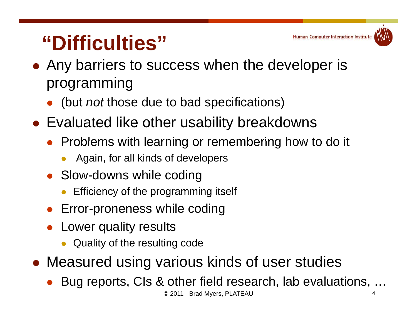#### **"Difficulties"**

- Any barriers to success when the developer is programming
	- $\bullet$ (but *not* those due to bad specifications)
- Evaluated like other usability breakdowns
	- $\bullet$ Problems with learning or remembering how to do it
		- $\bullet$ Again, for all kinds of developers
	- Slow-downs while coding
		- $\bullet$ Efficiency of the programming itself
	- $\bullet$ Error-proneness while coding
	- $\bullet$ Lower quality results
		- $\bullet$ Quality of the resulting code
- Measured using various kinds of user studies
	- $\bullet$ Bug reports, CIs & other field research, lab evaluations, …

**Human-Computer Interaction Institute**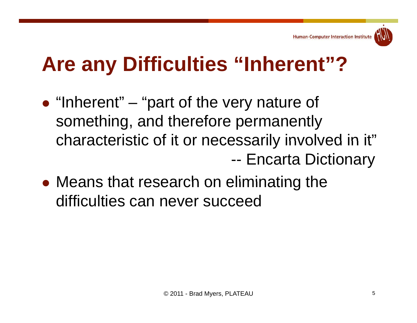#### **A Diffi lti "I h t"? Are any Difficulties n herent"?**

- $\bullet$  "Inherent"  $-$  "part of the very nature of something, and therefore permanently characteristic of it or necessarily involved in it" --Encarta Dictionary
- $\bullet$  Means that research on eliminating the difficulties can never succeed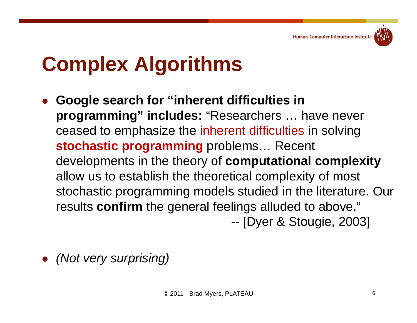**Human-Computer Interaction Institute** 



### **C l Al ith Comp lex Algorithms**

- $\bullet$  **Google search for "inherent difficulties in inherent programming" includes:** "Researchers … have never ceased to emphasize the inherent difficulties in solving **stochastic programming** problems… Recent developments in the theory of **computational complexity**  allow us to establish the theoretical complexity of most stochastic programming models studied in the literature. Our results **confirm** the general feelings alluded to above." --- [Dyer & Stougie, 2003]
- $\bullet$ *(Not very surprising)*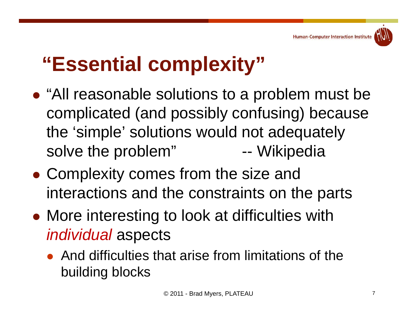

# **"Essential complexity"**

- "All reasonable solutions to a problem must be complicated (and possibly confusing) because the 'simple' solutions would not adequately solve the problem" -- Wikipedia
- Complexity comes from the size and interactions and the constraints on the parts
- More interestin g to look at difficulties with *individual* aspects
	- And difficulties that arise from limitations of the building blocks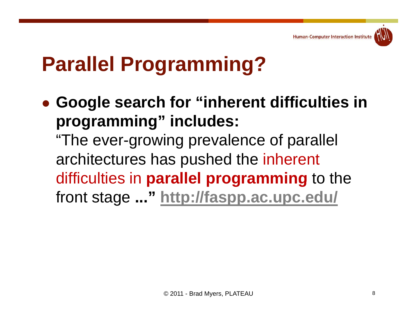

# **Parallel Programming?**

 **Google search for "inherent difficulties in programming" includes:**

"The ever-growing prevalence of parallel architectures has pushed the inherent difficulties in **parallel programming** to the front stage **..." http://faspp.ac.upc.edu/**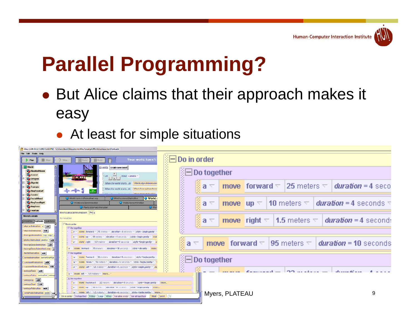

# **Parallel Programming?**

- But Alice claims that their approach makes it easy
	- At least for sim ple situations

| Allise (2.06.05/27/2003 12:05PM) - C:\Users\bam\Documents\Alice\exampleWorlds\amusementPark.a2w                                                                                                                                                                                                                                                                                                                                                                                                                                             |                                                                                                                           |   |
|---------------------------------------------------------------------------------------------------------------------------------------------------------------------------------------------------------------------------------------------------------------------------------------------------------------------------------------------------------------------------------------------------------------------------------------------------------------------------------------------------------------------------------------------|---------------------------------------------------------------------------------------------------------------------------|---|
| Filia Fritt Tonis: Halp<br>Your world hasn't<br>$\blacksquare$ Slop<br><b>S</b> Undo<br>$\rightarrow$ 1%w<br>$7$ Why                                                                                                                                                                                                                                                                                                                                                                                                                        | $\sqrt[n]{\Box}$ Do in order                                                                                              |   |
| <b>North</b><br>Events create new event<br>HauntedHouse<br>Let $\frac{1}{ 1 }$ $\frac{1}{ 1 }$ $\frac{1}{ 1 }$ meve Camera $\sim$<br><b>C</b> Ground<br><b>BECAME</b><br><b>C</b> octopus                                                                                                                                                                                                                                                                                                                                                   | <b>NE Do together</b>                                                                                                     |   |
| Skyride<br>When the world starts, do Wwild sky ideAnimation<br>Teacups<br>When the world starts, do SWorld.teacupDaseAnm<br><b>⊹→→</b> 1<br>RingTossLeft<br><b>Coaster</b>                                                                                                                                                                                                                                                                                                                                                                  | β¦a ≂<br><b>move</b> forward $\nabla$  25 meters $\nabla$   <b>duration = 4</b> seco                                      |   |
| World.<br>World camuse Animation Loop<br>World carnus clAnimation<br>FerrisWheel<br>RingTossRight<br>World.horseAnimation<br>World.octoSpinAnimation<br><b>RingTuss</b><br>O Wor<br>VientLoctoPods/inmation<br>I cuntain                                                                                                                                                                                                                                                                                                                    | $\frac{2}{3}a$<br><b>move</b> $up \vee 10$ meters $\vee$ <b><i>duration</i></b> = 4 seconds $\neg$                        |   |
| World.skycarAnimation Alasi a<br>Morto's details<br>No variables.<br>properties methods questions<br>i⊟ Du in urder                                                                                                                                                                                                                                                                                                                                                                                                                         | <u>§a ≂</u><br><b>move</b> right $\nabla$   <b>1.5</b> meters $\nabla$   <b>duration = 4</b> second:                      |   |
| skycar Animation a edit<br>$\mathbb{R}$ Du tugether<br>slorideAnimation edit<br>$A =$ move forward $=$ 25 meters $=$ dwaller $-4$ seconds $=$ style - begin gently<br>teacupsAnimation cup cup2<br>10 meters $\pm$ duration - 4 seconds $\pm$ style - begin gently $\pm$ more                                                                                                                                                                                                                                                               |                                                                                                                           |   |
| platte Animation platter Fedal<br>1.5 meters $\frac{1}{2}$ dengtion = 4 seconds $\frac{1}{2}$ style = begin gently<br>a move right<br>teacupUaseAnmation edit<br>a v   move   forward v   95 meters v   duration = 10 seconds v   style = abruptly v<br>teacupDassAnimationLoop<br>ferrisAnimation edit<br>F Do touether                                                                                                                                                                                                                    | isi<br>Sila<br><b>move</b> forward $\nabla$  95 meters $\nabla$   duration = 10 seconds<br>$\overline{\Delta_{\rm{tot}}}$ |   |
| $\frac{1}{2}a \times \frac{1}{2}$ move forward $\times$ 22 meters $\times$ devation = 4 seconds $\times$ style = begin member<br>horeodnimation horeeStartUn<br>carousabhornation <b>adit</b><br>$\mathbf{a} = \mathbf{b}$ move $\mathbf{d}$ own $\tau$ $\mathbf{b}$ meters $\tau$ $\mathbf{d}$ avadios - 4 seconds $\tau$ $\mathbf{b}$ style -begin gently :<br>caruuselAnimatiunLuup edit                                                                                                                                                 | <b>ADo together</b><br>SSS S                                                                                              |   |
| $\bar{z}$ a $\pm$ move 1eft $\pm$ 1.5 meters $\pm$ duraban = 1 seconds $\pm$ style = begin gently $\pm$ me<br>swingsRock   edit<br>$a \neq$ move left $\neq$ 1.5 meters $\neq$ more<br>swingsRaise swingOut swing<br>$H$ De together                                                                                                                                                                                                                                                                                                        | Š                                                                                                                         |   |
| swingsUp cdlt<br>a v imuvel backward v iZZ meters v iderabon = 4 securids v isbyle = begin gently<br>swingsStart cdlt<br>$r$ move top $\sim$ 10 meters $\sim$ <i>densiton</i> = 4 seconds $\sim$ <i>style</i> = begin gently $\sim$ mouse.<br>swingsAnimation edit<br>$\mathbf{a} \nabla$ immore, left $\nabla$ if $\mathbf{S}$ meters $\nabla$ iduration = 4 seconds $\nabla$ ishvie = begin penth $\nabla$ immore<br>octoPodsAnimation pods<br>(Du in under 1800 together 1800 Ise 18Loop 18While 18For all in order 18For all together 1 | mure<br>Myers, PLATEAU<br>Wait Sprint 30                                                                                  | 9 |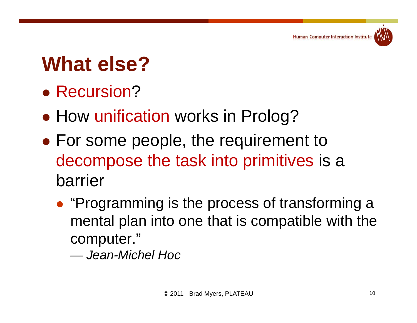

# **Wh t l ? What else?**

- Recursion?
- $\bullet$ • How unification works in Prolog?
- $\bullet$  $\bullet$  For some people, the requirement to decompose the task into primitives is a barrier
	- "Programming is the process of transforming a mental plan into one that is compatible with the computer."
		- *— Jean-Michel Hoc*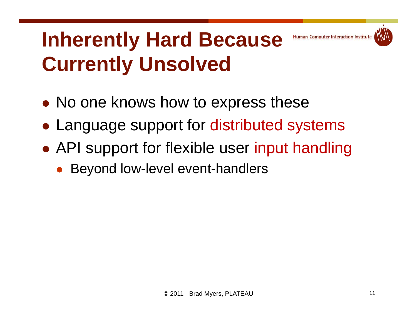#### **Inherently Hard Because Human-Computer Interaction Institute Currently Unsolved**

- No one knows how to express these
- Language support for distributed systems
- API support for flexible user input handling
	- $\bullet$ Beyond low-level event-handlers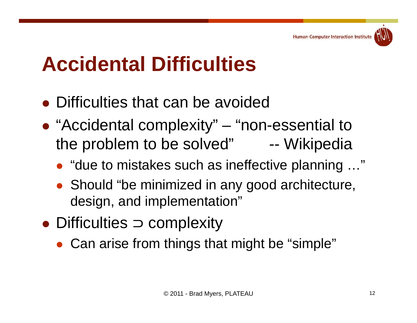

# **A id t l Diffi lti Accidena Difficulties**

- Difficulties that can be avoided
- "Accidental complexity" "non-essential to th bl t b l d" the problem to be solved" -- Wiki di Wikipedi a
	- "due to mistakes such as ineffective planning …"
	- Should "be minimized in any good architecture, design, and implementation"
- $\bullet$  Difficulties  $\supset$  complexity
	- Can arise from things that might be "simple"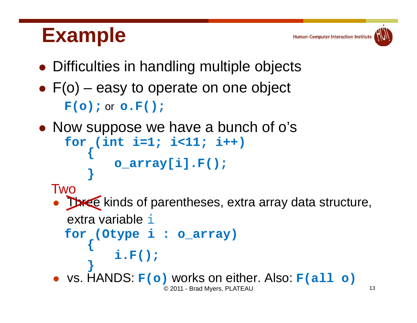#### **Example**



- $\bullet$   $F(o)$  easy to operate on one object **F(o);** or **o.F();**
- Now suppose we have a bunch of o's

```
for (int i=1; i<11; i++) { o_array[i].F(); }
```
#### Two

• Three kinds of parentheses, extra array data structure, extra variable i

```
for (Otype i : o_array) { i.F(); }
```
© 2011 - Brad Myers, PLATEAU <sup>13</sup>  $\bullet$ vs. HANDS: **F(o)** works on either. Also: **F(all o)**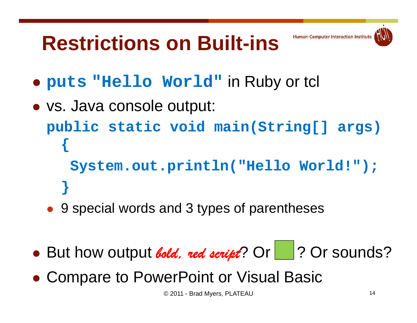#### **Restrictions on Built-ins**



- **puts "Hello World"** in Ruby or tcl
- vs. Java console output: **public static void main(String[] args) { System.out.println("Hello World!"); }**
	- 9 special words and 3 types of parentheses
- But how output *bold, red script*? Or 1? Or sounds?
- Compare to PowerPoint or Visual Basic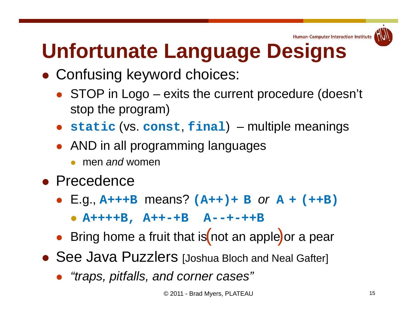

# Unfortunate Language Designs

- Confusing keyword choices:
	- STOP in Logo exits the current procedure (doesn't stop the program)
	- **static** (vs. **const**, **final**) multiple meanings
	- AND in all programming languages
		- $\bullet$ men *and* women
- **Precedence** 
	- E.g., **A+++B** means? **(A++)+ <sup>B</sup>** *or* **<sup>A</sup> <sup>+</sup> (++B)**
		- $\bullet$ **A++++B , A++ - +B A - - + -++B**
	- $\bullet$  Bring home a fruit that is not an apple or a pear
- See Java Puzzlers [Joshua Bloch and Neal Gafter]
	- *"traps, pitfalls, and corner cases"*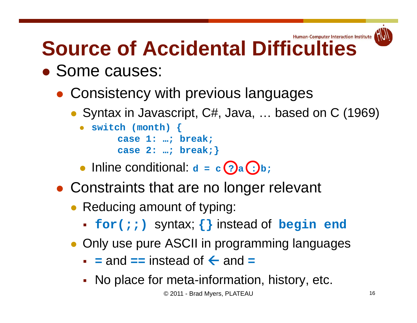#### Human-Computer Interaction Institute **Source of Accidental Difficulties**

Some causes:

 $\bullet$ 

- Consistency with previous languages
	- Syntax in Javascript, C#, Java, ... based on C (1969)

```
 switch (month) { 
 case 1: ; break;  1: …

case 2: …; break;}
```
- Inline conditional: **d = <sup>c</sup> <sup>a</sup> b; ? :**
- Constraints that are no longer relevant
	- Reducing amount of typing:
		- **for(;;)** syntax; {} instead of **begin** end
	- Only use pure ASCII in programming languages
		- $\bullet$  = and == instead of  $\leftarrow$  and =
		- П No place for meta-information, history, etc.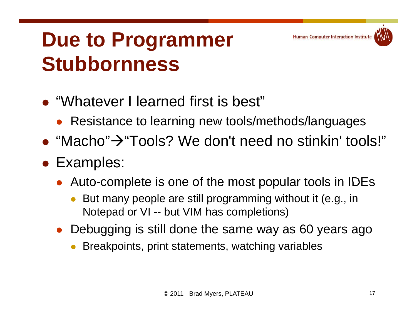#### **Due to Programmer Stubbornness**

- $\bullet$  "Whatever I learned first is best"
	- $\bullet$ Resistance to learning new tools/methods/languages
- $\bullet$  "Macho" $\rightarrow$ "Tools? We don't need no stinkin' tools!"
- Examples:
	- $\bullet$ • Auto-complete is one of the most popular tools in IDEs
		- 0 But many people are still programming without it (e.g., in Notepad or VI -- but VIM has completions)
	- Debugging is still done the same way as 60 years ago
		- 0 Breakpoints, print statements, watching variables

**Human-Computer Interaction Institute**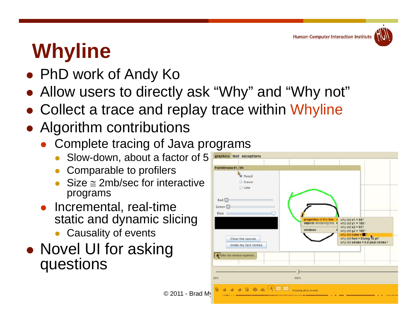

# **Whyline**

- PhD work of Andy Ko
- Allow users to directly ask "Why" and "Why not"
- Collect a trace and replay trace within Whyline

 $©$  2011 - Brad M

- **Algorithm contributions** 
	- Complete tracing of Java programs
		- Slow-down, about a factor of 5
		- $\bullet$ Comparable to profilers
		- $\bullet$  $Size \approx 2mb/sec$  for interactive programs
	- Incremental, real-time static and dynamic slicing
		- Causality of events
- Novel UI for asking questions

| PaintWindow #1,785                                                                                                 |                                                                |                                                                                                                                                                                       |
|--------------------------------------------------------------------------------------------------------------------|----------------------------------------------------------------|---------------------------------------------------------------------------------------------------------------------------------------------------------------------------------------|
| Pencil<br>C Eraser<br>C Line<br>Red C<br>Green <sup>C</sup><br>$Blue =$<br>Clear the canvas<br>Undo my last stroke | properties of this line<br>objects rendering this ><br>windows | why did $x1 = 88$ ?<br>why did $y1 = 185$ ?<br>why did $x2 = 93$ ?<br>why did $y2 = 169$ ?<br>why did color $=$<br>why did font = Dialog 12 pt?<br>why did stroke = 5.0 pixel stroke? |
| I after this window repainted                                                                                      |                                                                |                                                                                                                                                                                       |
| 25%                                                                                                                | 100%                                                           |                                                                                                                                                                                       |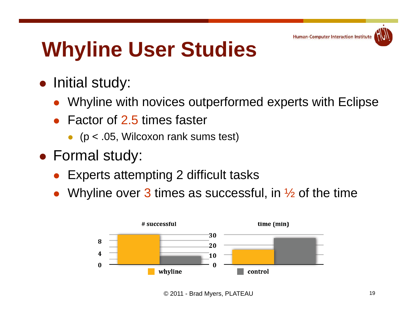# **Whyline User Studies**

- **•** Initial study:
	- $\bullet$ Whyline with novices outperformed experts with Eclipse
	- $\bullet$  Factor of 2.5 times faster
		- (p < .05, Wilcoxon rank sums test)
- Formal study:
	- $\bullet$ Experts attempting 2 difficult tasks
	- $\bullet$ Whyline over 3 times as successful, in  $\frac{1}{2}$  of the time



© 2011 - Brad Myers, PLATEAU <sup>19</sup>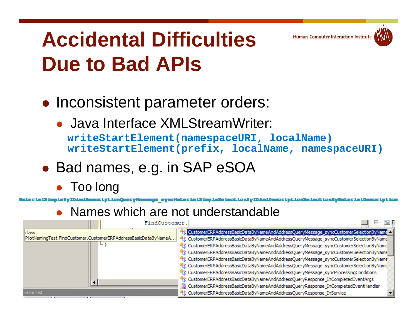#### **Accidental DifficultiesDue to Bad APIs**

- Inconsistent parameter orders:
	- Java Interface XMLStreamWriter:

**writeStartElement (namespaceURI namespaceURI , localName ) writeStartElement(prefix, localName, namespaceURI)**

**Human-Computer Interaction Institute** 

- Bad names, e.g. in SAP eSOA
	- $\bullet$ Too long

or ipt ionQueryHeesege -eynoHeter ielS impleSe lect ionBy IDAndDescr ipt ionSe lect ionByWeter ielDescr ipt ion

 $\bullet$ Names which are not understandable

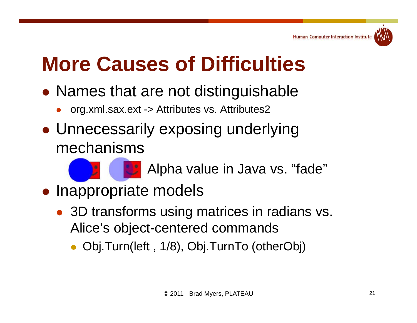

# **M C f Diffi lti More Causes o Difficulties**

- Names that are not distinguishable
	- $\bullet$ org.xml.sax.ext -> Attributes vs. Attributes2
- Unnecessarily exposing underlying mechanisms

Alpha value in Java vs. "fade"

- Inappropriate models
	- 3D transforms using matrices in radians vs. Alice's object-centered commands
		- $\bullet$ Obj.Turn(left , 1/8), Obj.TurnTo (otherObj)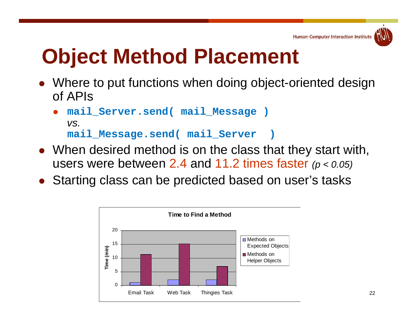

#### **Object Method Placement**

- Where to put functions when doing object-oriented design of APIs
	- $\bullet$  **mail\_Server.send( mail\_Message )** *vs.* **mail\_Message.send( mail\_Server )**
- When desired method is on the class that they start with, users were between 2.4 and 11.2 times faster *(p < 0.05)*
- Starting class can be predicted based on user's tasks

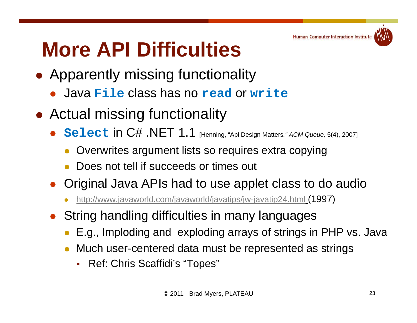

# **More API Difficulties**

- **Apparently missing functionality** 
	- Java **File** class has no **read** or **write**
- Actual missing functionality
	- **Select** in C# .NET 1.1 [Henning, "Api Design Matters*." ACM Queue,* 5(4), 2007]
		- 0 Overwrites argument lists so requires extra copying
		- 0 Does not tell if succeeds or times out
	- $\bullet$  Original Java APIs had to use applet class to do audio
		- 0 http://www.javaworld.com/javaworld/javatips/jw-javatip24.html (1997)
	- String handling difficulties in many languages
		- E.g., Imploding and exploding arrays of strings in PHP vs. Java
		- 0 Much user-centered data must be represented as strings
			- Ref: Chris Scaffidi's "Topes"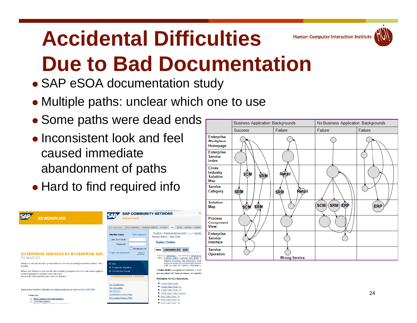#### **Accidental DifficultiesHuman-Computer Interaction Institute Due to Bad Documentation**

- SAP eSOA documentation study
- Multiple paths: unclear which one to use
- Some paths were dead ends
- $\bullet$  Inconsistent look and feel caused immediateabandonment of paths
- Hard to find required info

| <b>ES WORKPLACE</b>                                                                                                                                                                                                                                                                                                                   | <b>SAP COMMUNITY NETWORK</b><br><b>Welcome Guest</b>                                                                                                                    |                                                                                                                                                                                                                                                                                                                              |
|---------------------------------------------------------------------------------------------------------------------------------------------------------------------------------------------------------------------------------------------------------------------------------------------------------------------------------------|-------------------------------------------------------------------------------------------------------------------------------------------------------------------------|------------------------------------------------------------------------------------------------------------------------------------------------------------------------------------------------------------------------------------------------------------------------------------------------------------------------------|
| <b>ENTERPRISE SERVICES BY ENTERPRISE SER</b>                                                                                                                                                                                                                                                                                          | <b>BPX Community</b><br><b>SDN Community</b><br><b>Member Login</b><br>Not a member?<br>Liser ID or Email<br>Password<br>Remember me<br>Forgot your password?<br>Log in | Wiki<br>Articles<br><b>Business Objects</b><br>Forums<br><b>Blogs</b><br>Down<br>My Home > Enterprise Services WIKI >  > Custo<br>Business Objects > Sales Order<br><b>Sales Order</b><br>Comments (0)<br>Info<br>View                                                                                                       |
| <b>ES BUNDLES</b><br>Enterprise Services Bundles group enterprise services according to business criteria. This a<br>bundles.<br>Please note: Enterprise Services Bundles including enterprise services from various applicat<br>several applications are listed more than once.<br>Browse the following Enterprise Services Bundles: | E FAO<br>■ Community Guidelines<br>■ Contributors Corner<br><b>CONTRIBUTORS CORNER</b>                                                                                  | Added by Daniel Sass , last edited by Deborah<br>Labels: business object, customer fact sheet,<br>logistics execution tms integration, av<br>quoto to ordor for configurable prod<br>order to cash for fashion, integration<br>A Sales Order is an agreement between a ver<br>are associated with these processes, on a spec |
| Enterprise Services Bundles providing enterprise services for SAP ERP<br><b>Financials</b><br><b>Bank Communication Management</b><br>Credit Management<br><b>Clonicopin Qill Department and Document</b>                                                                                                                             | <b>Top Contributors</b><br><b>Top Companies</b><br><b>SAP Mentors</b><br>Contributors Corner Page<br>Recognition Program FAQ                                            | <b>Enterprise Service Operations</b><br>Create Sales Order<br>Create Sales Order V1<br>Create Sales Order V2<br>Check Sales Order Creation<br>Read Sales Order V1<br>Read Sales Order V2<br>Read Sales Order, V3                                                                                                             |

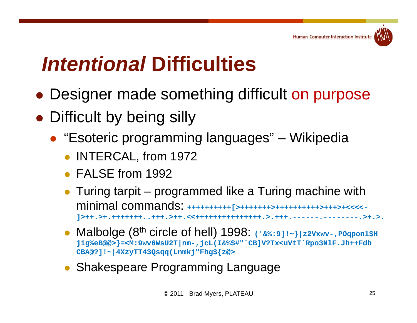

# *I t ti l Intentional***Diffi lti Difficulties**

- Designer made something difficult on purpose
- Difficult by being silly
	- "Esoteric programming languages" Wikipedia
		- INTERCAL, from 1972
		- **FALSE from 1992**
		- Turing tarpit programmed like a Turing machine with minimal commands: **++++++++++[>+++++++>++++++++++>+++>+<<<<- ]>++.>+.+++++++..+++.>++.<<+++++++++++++++.>.+++.------.--------.>+.>.**
		- Malbolge (8th circle of hell) 1998: **('&%:9]!~}|z2Vxwv-,POqponl\$H jig%eB@@>}=<M:9wv6WsU2T|nm-,jcL(I&%\$#"`CB]V?Tx<uVtT`Rpo3NlF.Jh++Fdb CBA@?]!~|4XzyTT43Qsqq(Lnmkj"Fhg\${z@>**
		- Shakespeare Programming Language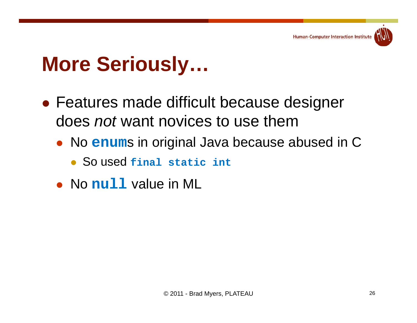#### $M$  **Dre Seriously...**

- $\bullet$  Features made difficult because designer does *not* want novices to use them
	- No **enum**s in original Java because abused in C
		- So used **final static int**
	- No null value in ML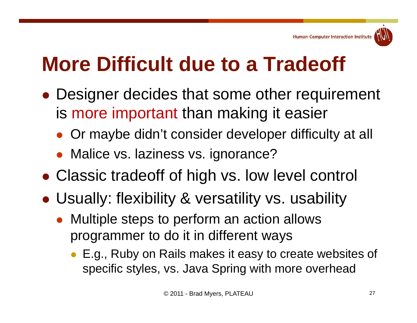# **M Diffi lt d t T d ff More Difficult due to a Tradeoff**

- Designer decides that some other requirement is more important than making it easier
	- Or maybe didn't consider developer difficulty at all
	- Malice vs. laziness vs. ignorance?
- Classic tradeoff of hi gh vs. low level control
- Usually: flexibility & versatility vs. usability
	- $\bullet$  Multiple steps to perform an action allows programmer to do it in different ways
		- E.g., Ruby on Rails makes it easy to create websites of specific styles, vs. Java Spring with more overhead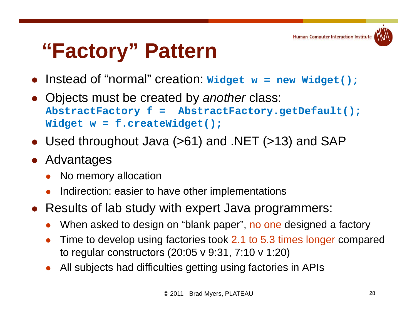

# **"Factory" Pattern**

- $\bullet$ Instead of "normal" creation: **Widget w = new Widget();**
- $\bullet$  Objects must be created by *another* class: **AbstractFactory f = AbstractFactory.getDefault(); Widget w = f.createWidget();**
- $\bullet$ Used throughout Java  $(>61)$  and .NET  $(>13)$  and SAP
- $\bullet$  Advantages
	- $\bullet$ No memory allocation
	- 0 Indirection: easier to have other implementations
- Results of lab study with expert Java programmers:
	- 0 When asked to design on "blank paper", no one designed a factory
	- $\bullet$  Time to develop using factories took 2.1 to 5.3 times longer compared to regular constructors (20:05 v 9:31, 7:10 v 1:20)
	- $\bullet$ All subjects had difficulties getting using factories in APIs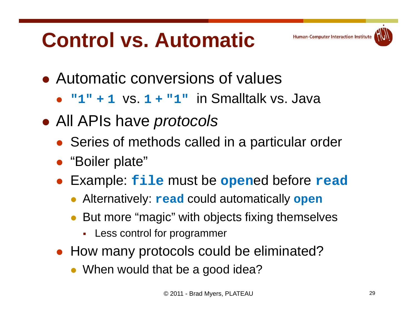# **Control vs. Automatic**





- $\bullet$ **"1"+1** vs. **1+ "1 "** in Smalltalk vs Java vs.
- All APIs have *protocols*
	- Series of methods called in a particular order
	- "Boiler plate"
	- $\bullet$  Example: **file** must be **open**ed before **read**
		- Alternatively: **read** could automatically **open**
		- $\bullet$ • But more "magic" with objects fixing themselves
			- Г Less control for programmer
	- How many protocols could be eliminated?
		- When would that be a good idea?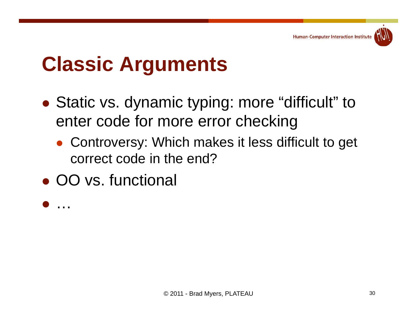

### **Classic Arguments**

- $\bullet$ • Static vs. dynamic typing: more "difficult" to enter code for more error checking
	- Controversy: Which makes it less difficult to get correct code in the end?
- OO vs. functional

 $\bullet$ …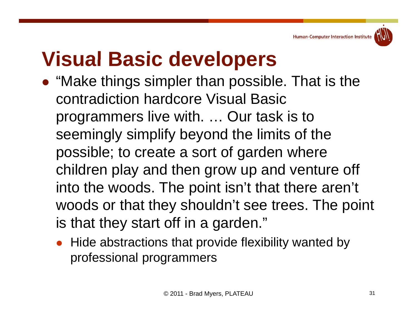

#### **Visual Basic developers**

- "Make things simpler than possible. That is the contradiction hardcore Visual Basic programmers live with. … Our task is to seemingly simplify beyond the limits of the possible; to create a sort of garden where children play and then grow up and venture off into the woods. The point isn't that there aren't woods or that they shouldn't see trees. The point is that they start off in a garden."  $\,$ 
	- Hide abstractions that provide flexibility wanted by professional programmers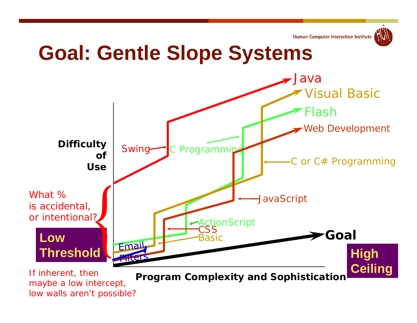

#### **Goal: Gentle Slope Systems**

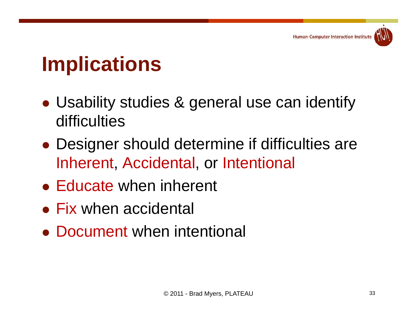### **I li ti Implications**

- Usability studies & general use can identify difficulties
- Designer should determine if difficulties are Inherent, Accidental, or Intentional
- $\bullet$  Educate when inherent
- Fix when accidental
- Document when intentional